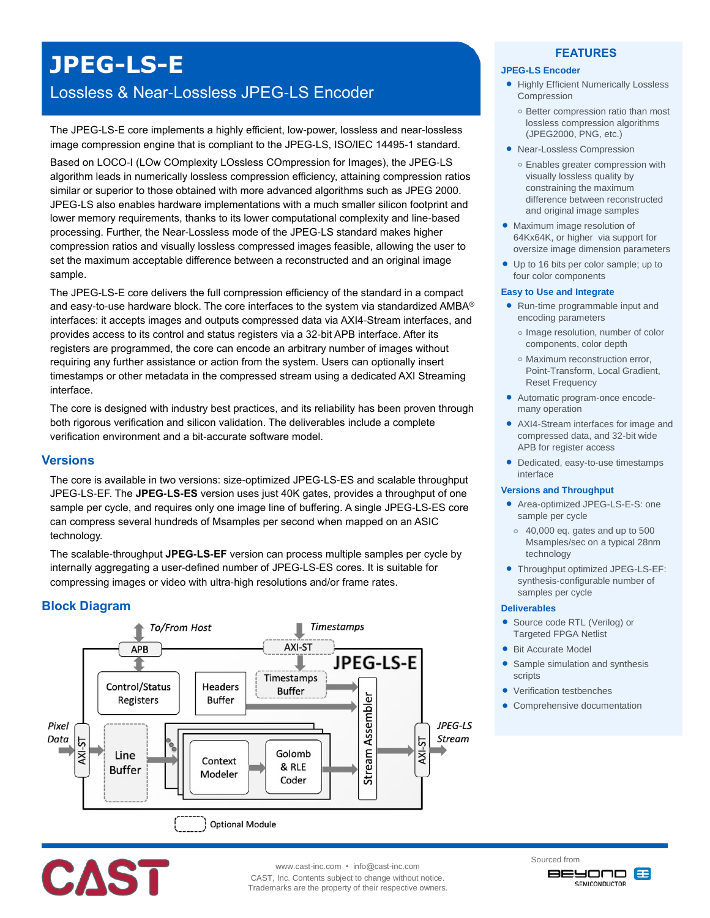# **JPEG-LS-E**

# Lossless & Near-Lossless JPEG-LS Encoder

The JPEG-LS-E core implements a highly efficient, low-power, lossless and near-lossless image compression engine that is compliant to the JPEG-LS, ISO/IEC 14495-1 standard.

Based on LOCO-I (LOw COmplexity LOssless COmpression for Images), the JPEG-LS algorithm leads in numerically lossless compression efficiency, attaining compression ratios similar or superior to those obtained with more advanced algorithms such as JPEG 2000. JPEG-LS also enables hardware implementations with a much smaller silicon footprint and lower memory requirements, thanks to its lower computational complexity and line-based processing. Further, the Near-Lossless mode of the JPEG-LS standard makes higher compression ratios and visually lossless compressed images feasible, allowing the user to set the maximum acceptable difference between a reconstructed and an original image sample.

The JPEG-LS-E core delivers the full compression efficiency of the standard in a compact and easy-to-use hardware block. The core interfaces to the system via standardized AMBA® interfaces: it accepts images and outputs compressed data via AXI4-Stream interfaces, and provides access to its control and status registers via a 32-bit APB interface. After its registers are programmed, the core can encode an arbitrary number of images without requiring any further assistance or action from the system. Users can optionally insert timestamps or other metadata in the compressed stream using a dedicated AXI Streaming interface.

The core is designed with industry best practices, and its reliability has been proven through both rigorous verification and silicon validation. The deliverables include a complete verification environment and a bit-accurate software model.

#### **Versions**

The core is available in two versions: size-optimized JPEG-LS-ES and scalable throughput JPEG-LS-EF. The **JPEG-LS-ES** version uses just 40K gates, provides a throughput of one sample per cycle, and requires only one image line of buffering. A single JPEG-LS-ES core can compress several hundreds of Msamples per second when mapped on an ASIC technology.

The scalable-throughput **JPEG-LS-EF** version can process multiple samples per cycle by internally aggregating a user-defined number of JPEG-LS-ES cores. It is suitable for compressing images or video with ultra-high resolutions and/or frame rates.

# **Block Diagram**



#### **FEATURES**

# **JPEG-LS Encoder**

- **Highly Efficient Numerically Lossless** Compression
	- **o** Better compression ratio than most lossless compression algorithms (JPEG2000, PNG, etc.)
- Near-Lossless Compression
	- **o** Enables greater compression with visually lossless quality by constraining the maximum difference between reconstructed and original image samples
- Maximum image resolution of 64Kx64K, or higher via support for oversize image dimension parameters
- Up to 16 bits per color sample; up to four color components

#### **Easy to Use and Integrate**

- Run-time programmable input and encoding parameters
	- **o** Image resolution, number of color components, color depth
	- **o** Maximum reconstruction error, Point-Transform, Local Gradient, Reset Frequency
- Automatic program-once encodemany operation
- AXI4-Stream interfaces for image and compressed data, and 32-bit wide APB for register access
- Dedicated, easy-to-use timestamps interface

#### **Versions and Throughput**

- Area-optimized JPEG-LS-E-S: one sample per cycle
- **o** 40,000 eq. gates and up to 500 Msamples/sec on a typical 28nm technology
- Throughput optimized JPEG-LS-EF: synthesis-configurable number of samples per cycle

#### **Deliverables**

- Source code RTL (Verilog) or Targeted FPGA Netlist
- Bit Accurate Model
- Sample simulation and synthesis scripts
- Verification testbenches
- Comprehensive documentation



www.cast-inc.com • info@cast-inc.com

CAST, Inc. Contents subject to change without notice. Trademarks are the property of their respective owners. Sourced from **BEYOND B**